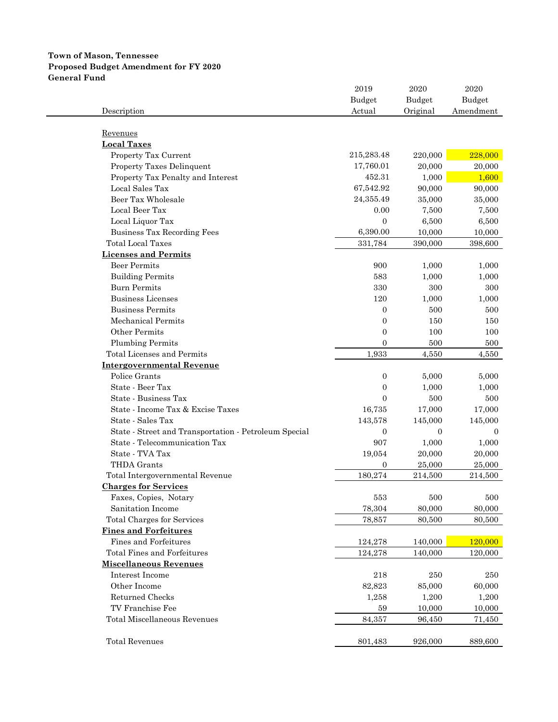# **Town of Mason, Tennessee Proposed Budget Amendment for FY 2020 General Fund**

|                                                       | 2019             | 2020         | 2020          |
|-------------------------------------------------------|------------------|--------------|---------------|
|                                                       | <b>Budget</b>    | Budget       | <b>Budget</b> |
| Description                                           | Actual           | Original     | Amendment     |
|                                                       |                  |              |               |
| Revenues                                              |                  |              |               |
| <b>Local Taxes</b>                                    |                  |              |               |
| Property Tax Current                                  | 215,283.48       | 220,000      | 228,000       |
| Property Taxes Delinquent                             | 17,760.01        | 20,000       | 20,000        |
| Property Tax Penalty and Interest                     | 452.31           | 1,000        | 1,600         |
| Local Sales Tax                                       | 67,542.92        | 90,000       | 90,000        |
| Beer Tax Wholesale                                    | 24,355.49        | 35,000       | 35,000        |
| Local Beer Tax                                        | 0.00             | 7,500        | 7,500         |
| Local Liquor Tax                                      | $\mathbf{0}$     | 6,500        | 6,500         |
| <b>Business Tax Recording Fees</b>                    | 6,390.00         | 10,000       | 10,000        |
| <b>Total Local Taxes</b>                              | 331,784          | 390,000      | 398,600       |
| <b>Licenses and Permits</b>                           |                  |              |               |
| <b>Beer Permits</b>                                   | 900              | 1,000        | 1,000         |
| <b>Building Permits</b>                               | 583              | 1,000        | 1,000         |
| <b>Burn Permits</b>                                   | 330              | 300          | 300           |
| Business Licenses                                     | 120              | 1,000        | 1,000         |
| <b>Business Permits</b>                               | $\boldsymbol{0}$ | 500          | 500           |
| Mechanical Permits                                    | $\boldsymbol{0}$ | 150          | 150           |
| Other Permits                                         | $\mathbf{0}$     | 100          | 100           |
| <b>Plumbing Permits</b>                               | $\Omega$         | 500          |               |
|                                                       |                  |              | 500           |
| Total Licenses and Permits                            | 1,933            | 4,550        | 4,550         |
| <b>Intergovernmental Revenue</b><br>Police Grants     |                  |              |               |
|                                                       | $\mathbf{0}$     | 5,000        | 5,000         |
| State - Beer Tax                                      | $\mathbf{0}$     | 1,000        | 1,000         |
| State - Business Tax                                  | $\mathbf{0}$     | 500          | 500           |
| State - Income Tax & Excise Taxes                     | 16,735           | 17,000       | 17,000        |
| State - Sales Tax                                     | 143,578          | 145,000      | 145,000       |
| State - Street and Transportation - Petroleum Special | $\mathbf{0}$     | $\mathbf{0}$ | $\left($      |
| State - Telecommunication Tax                         | 907              | 1,000        | 1,000         |
| State - TVA Tax                                       | 19,054           | 20,000       | 20,000        |
| THDA Grants                                           | $\mathbf{0}$     | 25,000       | 25,000        |
| Total Intergovernmental Revenue                       | 180,274          | 214,500      | 214,500       |
| <b>Charges for Services</b>                           |                  |              |               |
| Faxes, Copies, Notary                                 | 553              | 500          | 500           |
| Sanitation Income                                     | 78,304           | 80,000       | 80,000        |
| Total Charges for Services                            | 78,857           | 80,500       | 80,500        |
| <b>Fines and Forfeitures</b>                          |                  |              |               |
| Fines and Forfeitures                                 | 124,278          | 140,000      | 120,000       |
| Total Fines and Forfeitures                           | 124,278          | 140,000      | 120,000       |
| <b>Miscellaneous Revenues</b>                         |                  |              |               |
| Interest Income                                       | 218              | 250          | 250           |
| Other Income                                          | 82,823           | 85,000       | 60,000        |
| Returned Checks                                       | 1,258            | 1,200        | 1,200         |
| TV Franchise Fee                                      | 59               | 10,000       | 10,000        |
| Total Miscellaneous Revenues                          | 84,357           | 96,450       | 71,450        |
|                                                       |                  |              |               |
| <b>Total Revenues</b>                                 | 801,483          | 926,000      | 889,600       |
|                                                       |                  |              |               |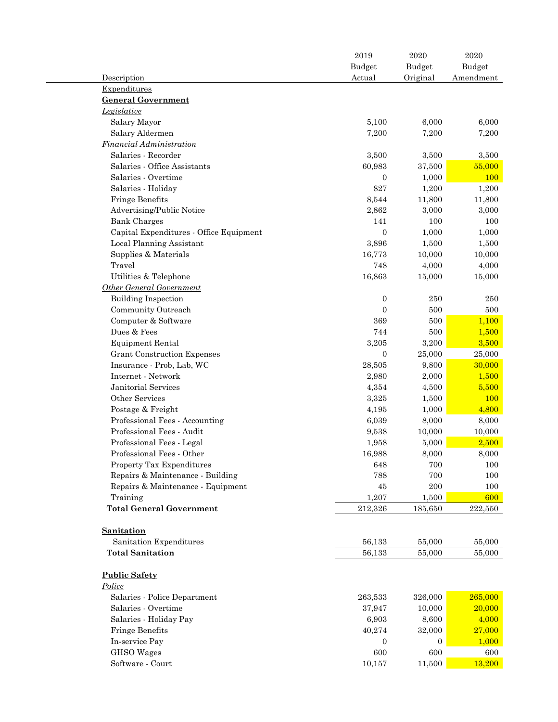|                                         | 2019             | 2020           | 2020      |
|-----------------------------------------|------------------|----------------|-----------|
|                                         | <b>Budget</b>    | <b>Budget</b>  | Budget    |
| Description                             | Actual           | Original       | Amendment |
| Expenditures                            |                  |                |           |
| <b>General Government</b>               |                  |                |           |
| Legislative                             |                  |                |           |
| Salary Mayor                            | 5,100            | 6,000          | 6,000     |
| Salary Aldermen                         | 7,200            | 7,200          | 7,200     |
| <b>Financial Administration</b>         |                  |                |           |
| Salaries - Recorder                     | 3,500            | 3,500          | 3,500     |
| Salaries - Office Assistants            | 60,983           | 37,500         | 55,000    |
| Salaries - Overtime                     | $\boldsymbol{0}$ | 1,000          | 100       |
| Salaries - Holiday                      | 827              | 1,200          | 1,200     |
| Fringe Benefits                         | 8,544            | 11,800         | 11,800    |
| Advertising/Public Notice               | 2,862            | 3,000          | 3,000     |
| <b>Bank Charges</b>                     | 141              | 100            | 100       |
| Capital Expenditures - Office Equipment | $\boldsymbol{0}$ | 1,000          | 1,000     |
| Local Planning Assistant                | 3,896            | 1,500          | 1,500     |
| Supplies & Materials                    | 16,773           | 10,000         | 10,000    |
| Travel                                  | 748              | 4,000          | 4,000     |
| Utilities & Telephone                   | 16,863           | 15,000         | 15,000    |
| <b>Other General Government</b>         |                  |                |           |
| <b>Building Inspection</b>              | $\boldsymbol{0}$ | 250            | 250       |
| Community Outreach                      | $\boldsymbol{0}$ | 500            | 500       |
| Computer & Software                     | 369              | 500            | 1,100     |
| Dues & Fees                             | 744              | 500            | 1,500     |
| <b>Equipment Rental</b>                 | 3,205            | 3,200          | 3,500     |
| Grant Construction Expenses             | $\boldsymbol{0}$ | 25,000         | 25,000    |
| Insurance - Prob, Lab, WC               | 28,505           | 9,800          | 30,000    |
| Internet - Network                      | 2,980            | 2,000          | 1,500     |
| Janitorial Services                     | 4,354            | 4,500          | 5,500     |
| Other Services                          | 3,325            | 1,500          | 100       |
| Postage & Freight                       | 4,195            | 1,000          | 4,800     |
| Professional Fees - Accounting          | 6,039            | 8,000          | 8,000     |
| Professional Fees - Audit               | 9,538            | 10,000         | 10,000    |
| Professional Fees - Legal               | 1,958            | 5,000          | 2,500     |
| Professional Fees - Other               | 16,988           | 8,000          | 8,000     |
| Property Tax Expenditures               | 648              | 700            | 100       |
| Repairs & Maintenance - Building        | 788              | 700            | 100       |
| Repairs & Maintenance - Equipment       | 45               | 200            | 100       |
| Training                                | 1,207            | 1,500          | 600       |
| <b>Total General Government</b>         | 212,326          | 185,650        | 222,550   |
|                                         |                  |                |           |
| Sanitation                              |                  |                |           |
| Sanitation Expenditures                 | 56,133           | 55,000         | 55,000    |
| <b>Total Sanitation</b>                 | 56,133           | 55,000         | 55,000    |
|                                         |                  |                |           |
| <b>Public Safety</b>                    |                  |                |           |
| Police                                  |                  |                |           |
| Salaries - Police Department            | 263,533          | 326,000        | 265,000   |
| Salaries - Overtime                     | 37,947           | 10,000         | 20,000    |
| Salaries - Holiday Pay                  | 6,903            | 8,600          | 4,000     |
| Fringe Benefits                         | 40,274           | 32,000         | 27,000    |
| In-service Pay                          | $\mathbf{0}$     | $\overline{0}$ | 1,000     |
| <b>GHSO</b> Wages                       | 600              | 600            | 600       |
| Software - Court                        | 10,157           | 11,500         | 13,200    |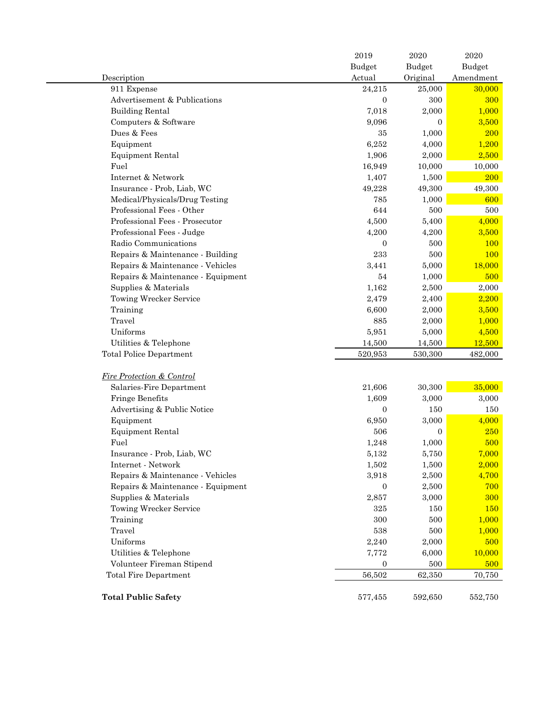|                                      | 2019             | 2020             | 2020          |
|--------------------------------------|------------------|------------------|---------------|
|                                      | Budget           | Budget           | <b>Budget</b> |
| Description                          | Actual           | Original         | Amendment     |
| 911 Expense                          | 24,215           | 25,000           | 30,000        |
| Advertisement & Publications         | $\overline{0}$   | 300              | 300           |
| <b>Building Rental</b>               | 7,018            | 2,000            | 1,000         |
| Computers & Software                 | 9,096            | $\boldsymbol{0}$ | 3,500         |
| Dues & Fees                          | 35               | 1,000            | <b>200</b>    |
| Equipment                            | 6,252            | 4,000            | 1,200         |
| <b>Equipment Rental</b>              | 1,906            | 2,000            | 2,500         |
| Fuel                                 | 16,949           | 10,000           | 10,000        |
| Internet & Network                   | 1,407            | 1,500            | <b>200</b>    |
| Insurance - Prob, Liab, WC           | 49,228           | 49,300           | 49,300        |
| Medical/Physicals/Drug Testing       | 785              | 1,000            | 600           |
| Professional Fees - Other            | 644              | 500              | 500           |
| Professional Fees - Prosecutor       | 4,500            | 5,400            | 4,000         |
| Professional Fees - Judge            | 4,200            | 4,200            | 3,500         |
| Radio Communications                 | $\mathbf{0}$     | 500              | 100           |
| Repairs & Maintenance - Building     | 233              | 500              | 100           |
| Repairs & Maintenance - Vehicles     | 3,441            | 5,000            | 18,000        |
| Repairs & Maintenance - Equipment    | 54               | 1,000            | 500           |
| Supplies & Materials                 | 1,162            | 2,500            | 2,000         |
| Towing Wrecker Service               | 2,479            | 2,400            | 2,200         |
| Training                             | 6,600            | 2,000            | 3,500         |
| Travel                               | 885              | 2,000            | 1,000         |
| Uniforms                             | 5,951            | 5,000            | 4,500         |
| Utilities & Telephone                | 14,500           | 14,500           | 12,500        |
| <b>Total Police Department</b>       | 520,953          | 530,300          | 482,000       |
|                                      |                  |                  |               |
| <b>Fire Protection &amp; Control</b> |                  |                  |               |
| Salaries-Fire Department             | 21,606           | 30,300           | 35,000        |
| Fringe Benefits                      | 1,609            | 3,000            | 3,000         |
| Advertising & Public Notice          | $\overline{0}$   | 150              | 150           |
| Equipment                            | 6,950            | 3,000            | 4,000         |
| <b>Equipment Rental</b>              | 506              | $\boldsymbol{0}$ | 250           |
| Fuel                                 | 1,248            | 1,000            | 500           |
| Insurance - Prob, Liab, WC           | 5,132            | 5,750            | 7,000         |
| Internet - Network                   | 1,502            | 1,500            | 2,000         |
| Repairs & Maintenance - Vehicles     | 3,918            | 2,500            | 4,700         |
| Repairs & Maintenance - Equipment    | $\boldsymbol{0}$ | 2,500            | 700           |
| Supplies & Materials                 | 2,857            | 3,000            | 300           |
| Towing Wrecker Service               |                  |                  |               |
|                                      | 325              | 150              | 150           |
| Training                             | 300              | 500              | 1,000         |
| Travel                               | 538              | 500              | 1,000         |
| Uniforms                             | 2,240            | 2,000            | 500           |
| Utilities & Telephone                | 7,772            | 6,000            | 10,000        |
| Volunteer Fireman Stipend            | 0                | 500              | 500           |
| <b>Total Fire Department</b>         | 56,502           | 62,350           | 70,750        |
|                                      |                  |                  |               |
| <b>Total Public Safety</b>           | 577,455          | 592,650          | 552,750       |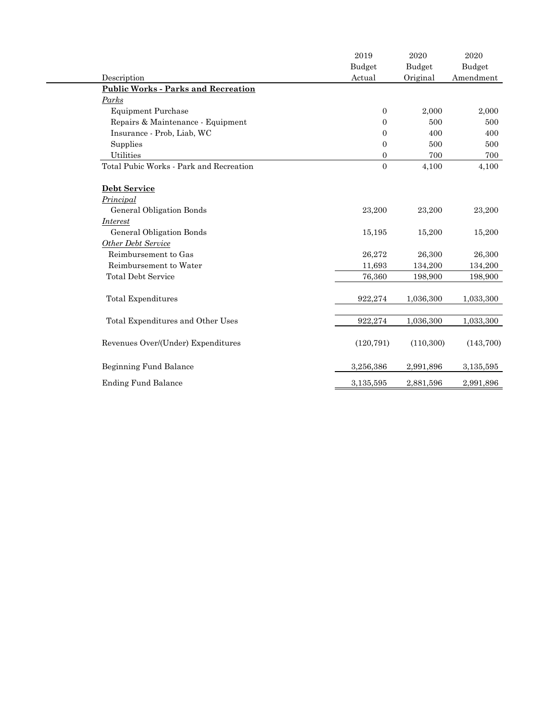|                                            | 2019             | 2020       | 2020      |
|--------------------------------------------|------------------|------------|-----------|
|                                            | Budget           | Budget     | Budget    |
| Description                                | Actual           | Original   | Amendment |
| <b>Public Works - Parks and Recreation</b> |                  |            |           |
| Parks                                      |                  |            |           |
| <b>Equipment Purchase</b>                  | $\overline{0}$   | 2,000      | 2,000     |
| Repairs & Maintenance - Equipment          | $\overline{0}$   | 500        | 500       |
| Insurance - Prob, Liab, WC                 | $\boldsymbol{0}$ | 400        | 400       |
| Supplies                                   | $\boldsymbol{0}$ | 500        | 500       |
| <b>Utilities</b>                           | $\mathbf{0}$     | 700        | 700       |
| Total Pubic Works - Park and Recreation    | $\boldsymbol{0}$ | 4,100      | 4,100     |
| Debt Service                               |                  |            |           |
| Principal                                  |                  |            |           |
| General Obligation Bonds                   | 23,200           | 23,200     | 23,200    |
| <i>Interest</i>                            |                  |            |           |
| <b>General Obligation Bonds</b>            | 15,195           | 15,200     | 15,200    |
| <b>Other Debt Service</b>                  |                  |            |           |
| Reimbursement to Gas                       | 26,272           | 26,300     | 26,300    |
| Reimbursement to Water                     | 11,693           | 134,200    | 134,200   |
| <b>Total Debt Service</b>                  | 76,360           | 198,900    | 198,900   |
| Total Expenditures                         | 922,274          | 1,036,300  | 1,033,300 |
| Total Expenditures and Other Uses          | 922,274          | 1,036,300  | 1,033,300 |
| Revenues Over/(Under) Expenditures         | (120, 791)       | (110, 300) | (143,700) |
| Beginning Fund Balance                     | 3,256,386        | 2,991,896  | 3,135,595 |
| <b>Ending Fund Balance</b>                 | 3,135,595        | 2,881,596  | 2,991,896 |
|                                            |                  |            |           |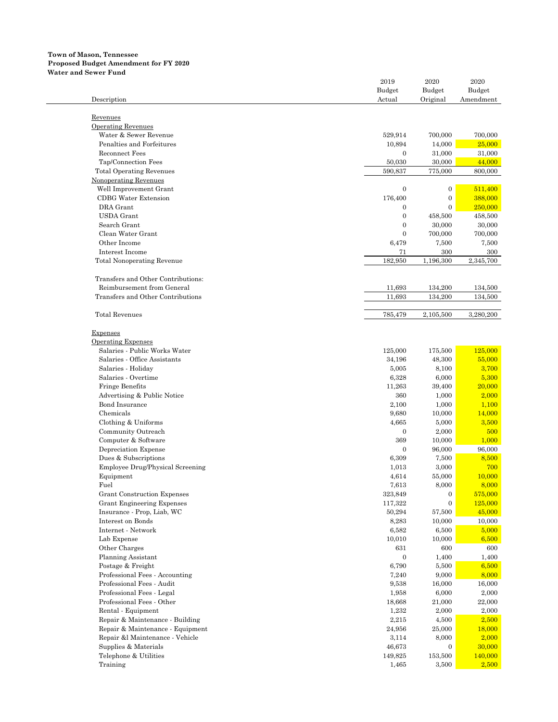### **Town of Mason, Tennessee Proposed Budget Amendment for FY 2020 Water and Sewer Fund**

|                                    | 2019             | 2020             | 2020      |
|------------------------------------|------------------|------------------|-----------|
|                                    | Budget           | Budget           | Budget    |
| Description                        | Actual           | Original         | Amendment |
|                                    |                  |                  |           |
| Revenues                           |                  |                  |           |
| <b>Operating Revenues</b>          |                  |                  |           |
| Water & Sewer Revenue              | 529,914          | 700,000          | 700,000   |
| Penalties and Forfeitures          | 10,894           | 14,000           | 25,000    |
| <b>Reconnect Fees</b>              | $\mathbf{0}$     | 31,000           | 31,000    |
| Tap/Connection Fees                | 50,030           | 30,000           | 44,000    |
| <b>Total Operating Revenues</b>    | 590,837          | 775,000          | 800,000   |
| Nonoperating Revenues              |                  |                  |           |
| Well Improvement Grant             | $\mathbf{0}$     | $\boldsymbol{0}$ | 511,400   |
| <b>CDBG</b> Water Extension        | 176,400          | $\mathbf{0}$     | 388,000   |
| DRA Grant                          | $\mathbf{0}$     | $\mathbf{0}$     | 250,000   |
| <b>USDA</b> Grant                  | $\mathbf{0}$     | 458,500          | 458,500   |
| Search Grant                       | $\theta$         | 30,000           | 30,000    |
| Clean Water Grant                  | $\theta$         | 700,000          | 700,000   |
| Other Income                       | 6,479            | 7,500            | 7,500     |
| Interest Income                    |                  |                  |           |
|                                    | 71<br>182,950    | 300              | 300       |
| <b>Total Nonoperating Revenue</b>  |                  | 1,196,300        | 2,345,700 |
|                                    |                  |                  |           |
| Transfers and Other Contributions: |                  |                  |           |
| Reimbursement from General         | 11,693           | 134,200          | 134,500   |
| Transfers and Other Contributions  | 11,693           | 134,200          | 134,500   |
|                                    |                  |                  |           |
| <b>Total Revenues</b>              | 785.479          | 2,105,500        | 3,280,200 |
|                                    |                  |                  |           |
| Expenses                           |                  |                  |           |
| <b>Operating Expenses</b>          |                  |                  |           |
| Salaries - Public Works Water      | 125,000          | 175,500          | 125,000   |
| Salaries - Office Assistants       | 34,196           | 48,300           | 55,000    |
| Salaries - Holiday                 | 5,005            | 8,100            | 3,700     |
| Salaries - Overtime                | 6,328            | 6,000            | 5,300     |
| Fringe Benefits                    | 11,263           | 39,400           | 20,000    |
| Advertising & Public Notice        | 360              | 1,000            | 2,000     |
| <b>Bond Insurance</b>              | 2,100            | 1,000            | 1,100     |
| Chemicals                          | 9,680            | 10,000           | 14,000    |
| Clothing & Uniforms                | 4,665            | 5,000            | 3,500     |
| Community Outreach                 | $\mathbf{0}$     | 2,000            | 500       |
| Computer & Software                | 369              | 10,000           | 1,000     |
| Depreciation Expense               | $\mathbf{0}$     | 96,000           | 96,000    |
| Dues & Subscriptions               | 6,309            | 7,500            | 8,500     |
| Employee Drug/Physical Screening   | 1,013            | 3,000            | 700       |
| Equipment                          | 4,614            | 55,000           | 10,000    |
| Fuel                               | 7,613            | 8,000            | 8,000     |
| <b>Grant Construction Expenses</b> | 323,849          | $\boldsymbol{0}$ | 575,000   |
|                                    |                  |                  | 125,000   |
| <b>Grant Engineering Expenses</b>  | 117,322          | $\mathbf{0}$     |           |
| Insurance - Prop, Liab, WC         | 50,294           | 57,500           | 45,000    |
| Interest on Bonds                  | 8,283            | 10,000           | 10,000    |
| Internet - Network                 | 6,582            | 6,500            | 5,000     |
| Lab Expense                        | 10,010           | 10,000           | 6,500     |
| Other Charges                      | 631              | 600              | 600       |
| Planning Assistant                 | $\boldsymbol{0}$ | 1,400            | 1,400     |
| Postage & Freight                  | 6,790            | 5,500            | 6,500     |
| Professional Fees - Accounting     | 7,240            | 9,000            | 8,000     |
| Professional Fees - Audit          | 9,538            | 16,000           | 16,000    |
| Professional Fees - Legal          | 1,958            | 6,000            | 2,000     |
| Professional Fees - Other          | 18,668           | 21,000           | 22,000    |
| Rental - Equipment                 | 1,232            | 2,000            | 2,000     |
| Repair & Maintenance - Building    | 2,215            | 4,500            | 2,500     |
| Repair & Maintenance - Equipment   | 24,956           | 25,000           | 18,000    |
| Repair &l Maintenance - Vehicle    | 3,114            | 8,000            | 2,000     |
| Supplies & Materials               | 46,673           | $\mathbf{0}$     | 30,000    |
| Telephone & Utilities              | 149,825          | 153,500          | 140,000   |
| Training                           | 1,465            | 3,500            | 2,500     |
|                                    |                  |                  |           |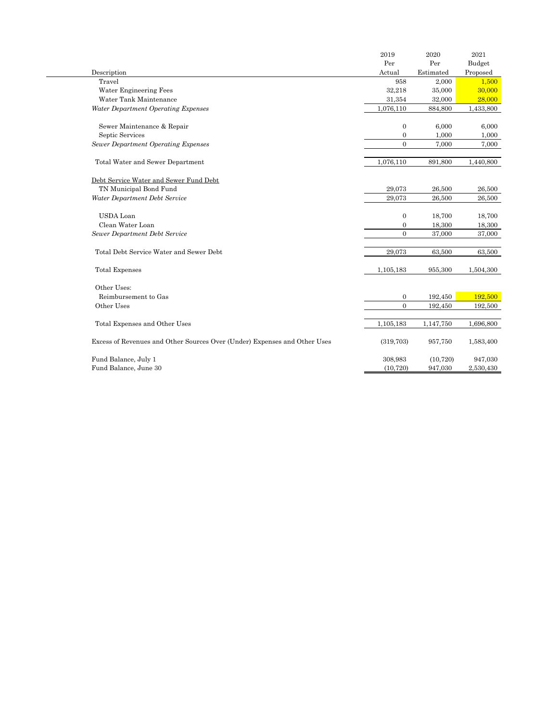|                                                                           | 2019         | 2020      | 2021      |
|---------------------------------------------------------------------------|--------------|-----------|-----------|
|                                                                           | Per          | Per       | Budget    |
| Description                                                               | Actual       | Estimated | Proposed  |
| Travel                                                                    | 958          | 2,000     | 1,500     |
| Water Engineering Fees                                                    | 32,218       | 35,000    | 30,000    |
| Water Tank Maintenance                                                    |              |           |           |
|                                                                           | 31,354       | 32,000    | 28,000    |
| Water Department Operating Expenses                                       | 1,076,110    | 884,800   | 1,433,800 |
| Sewer Maintenance & Repair                                                | $\theta$     | 6,000     | 6,000     |
| Septic Services                                                           | $\theta$     | 1.000     | 1,000     |
| <b>Sewer Department Operating Expenses</b>                                | $\Omega$     | 7,000     | 7,000     |
| Total Water and Sewer Department                                          | 1,076,110    | 891,800   | 1,440,800 |
| Debt Service Water and Sewer Fund Debt                                    |              |           |           |
| TN Municipal Bond Fund                                                    | 29,073       | 26,500    | 26,500    |
| Water Department Debt Service                                             | 29,073       | 26,500    | 26,500    |
| <b>USDA</b> Loan                                                          | $\mathbf{0}$ | 18,700    | 18,700    |
| Clean Water Loan                                                          | $\mathbf{0}$ | 18,300    | 18,300    |
| Sewer Department Debt Service                                             | $\Omega$     | 37,000    | 37,000    |
| Total Debt Service Water and Sewer Debt                                   | 29,073       | 63,500    | 63,500    |
| <b>Total Expenses</b>                                                     | 1,105,183    | 955,300   | 1,504,300 |
| Other Uses:                                                               |              |           |           |
| Reimbursement to Gas                                                      | $\mathbf{0}$ | 192,450   | 192,500   |
| Other Uses                                                                | $\Omega$     | 192,450   | 192,500   |
| Total Expenses and Other Uses                                             | 1,105,183    | 1,147,750 | 1,696,800 |
| Excess of Revenues and Other Sources Over (Under) Expenses and Other Uses | (319, 703)   | 957,750   | 1,583,400 |
| Fund Balance, July 1                                                      | 308,983      | (10, 720) | 947,030   |
| Fund Balance, June 30                                                     | (10, 720)    | 947,030   | 2,530,430 |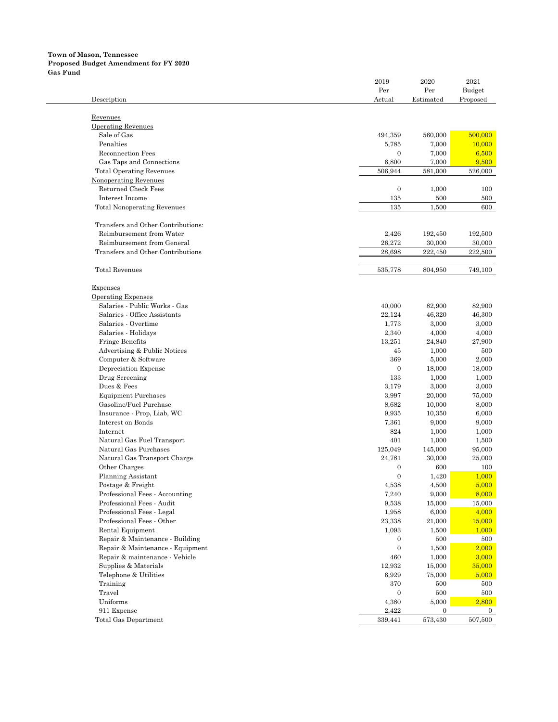### **Town of Mason, Tennessee Proposed Budget Amendment for FY 2020 Gas Fund**

|                                    | 2019             | 2020             | 2021                    |
|------------------------------------|------------------|------------------|-------------------------|
|                                    | Per              | Per              | Budget                  |
| Description                        | Actual           | Estimated        | Proposed                |
|                                    |                  |                  |                         |
| Revenues                           |                  |                  |                         |
| <b>Operating Revenues</b>          |                  |                  |                         |
| Sale of Gas                        | 494,359          | 560,000          | 500,000                 |
| Penalties                          | 5,785            | 7,000            | 10,000                  |
| <b>Reconnection Fees</b>           | $\boldsymbol{0}$ | 7,000            | 6,500                   |
| Gas Taps and Connections           | 6,800            | 7,000            | 9,500                   |
| <b>Total Operating Revenues</b>    | 506,944          | 581,000          | 526,000                 |
| Nonoperating Revenues              |                  |                  |                         |
| Returned Check Fees                | $\boldsymbol{0}$ | 1,000            | 100                     |
| Interest Income                    | 135              | 500              | 500                     |
| <b>Total Nonoperating Revenues</b> | 135              | 1,500            | 600                     |
|                                    |                  |                  |                         |
| Transfers and Other Contributions: |                  |                  |                         |
| Reimbursement from Water           | 2,426            | 192,450          | 192,500                 |
| Reimbursement from General         | 26,272           | 30,000           | 30,000                  |
| Transfers and Other Contributions  | 28,698           | 222,450          | 222,500                 |
|                                    |                  |                  |                         |
| <b>Total Revenues</b>              | 535,778          | 804,950          | 749,100                 |
|                                    |                  |                  |                         |
| Expenses                           |                  |                  |                         |
| <b>Operating Expenses</b>          |                  |                  |                         |
| Salaries - Public Works - Gas      | 40,000           | 82,900           | 82,900                  |
| Salaries - Office Assistants       | 22,124           | 46,320           | 46,300                  |
| Salaries - Overtime                | 1.773            | 3,000            | 3,000                   |
| Salaries - Holidays                | 2,340            | 4,000            | 4,000                   |
| Fringe Benefits                    | 13,251           | 24,840           | 27,900                  |
| Advertising & Public Notices       | 45               | 1,000            | 500                     |
| Computer & Software                | 369              | 5,000            | 2,000                   |
| Depreciation Expense               | $\mathbf{0}$     | 18,000           | 18,000                  |
| Drug Screening                     | 133              | 1,000            | 1,000                   |
| Dues & Fees                        | 3,179            | 3,000            | 3,000                   |
| <b>Equipment Purchases</b>         | 3,997            | 20,000           | 75,000                  |
| Gasoline/Fuel Purchase             | 8,682            | 10,000           | 8,000                   |
| Insurance - Prop, Liab, WC         | 9,935            | 10,350           | 6,000                   |
| Interest on Bonds                  | 7,361            | 9,000            | 9,000                   |
|                                    | 824              |                  |                         |
| Internet                           |                  | 1,000            | 1,000                   |
| Natural Gas Fuel Transport         | 401              | 1,000            | 1,500                   |
| Natural Gas Purchases              | 125,049          | 145,000          | 95,000                  |
| Natural Gas Transport Charge       | 24,781           | 30,000           | 25,000                  |
| Other Charges                      | $\boldsymbol{0}$ | 600              | 100                     |
| <b>Planning Assistant</b>          | $\overline{0}$   | 1,420            | 1,000                   |
| Postage & Freight                  | 4,538            | 4,500            | 5,000                   |
| Professional Fees - Accounting     | 7,240            | 9,000            | 8,000                   |
| Professional Fees - Audit          | 9,538            | 15,000           | 15,000                  |
| Professional Fees - Legal          | 1,958            | 6,000            | 4,000                   |
| Professional Fees - Other          | 23,338           | 21,000           | 15,000                  |
| Rental Equipment                   | 1,093            | $1,\!500$        | 1,000                   |
| Repair & Maintenance - Building    | $\mathbf{0}$     | 500              | 500                     |
| Repair & Maintenance - Equipment   | $\boldsymbol{0}$ | 1,500            | 2,000                   |
| Repair & maintenance - Vehicle     | 460              | 1,000            | 3,000                   |
| Supplies & Materials               | 12,932           | 15,000           | 35,000                  |
| Telephone & Utilities              | 6,929            | 75,000           | 5,000                   |
| Training                           | 370              | 500              | 500                     |
| Travel                             | $\mathbf{0}$     | 500              |                         |
| Uniforms                           |                  |                  | 500                     |
|                                    | 4,380            | 5,000            | 2,800                   |
| 911 Expense                        | 2,422            | $\boldsymbol{0}$ | $\mathbf{0}$<br>507,500 |
| <b>Total Gas Department</b>        | 339,441          | 573,430          |                         |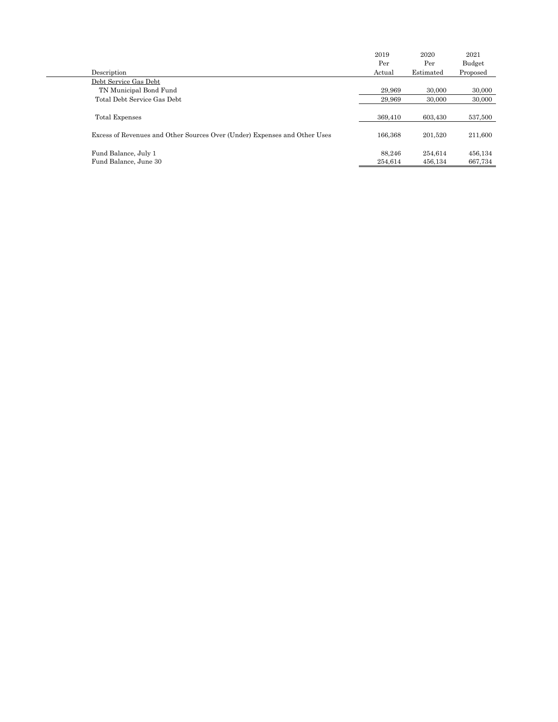|                                                                           | 2019    | 2020      | 2021     |
|---------------------------------------------------------------------------|---------|-----------|----------|
|                                                                           | Per     | Per       | Budget   |
| Description                                                               | Actual  | Estimated | Proposed |
| Debt Service Gas Debt                                                     |         |           |          |
| TN Municipal Bond Fund                                                    | 29.969  | 30,000    | 30,000   |
| Total Debt Service Gas Debt                                               | 29.969  | 30,000    | 30,000   |
|                                                                           |         |           |          |
| Total Expenses                                                            | 369.410 | 603.430   | 537,500  |
|                                                                           |         |           |          |
| Excess of Revenues and Other Sources Over (Under) Expenses and Other Uses | 166.368 | 201.520   | 211,600  |
|                                                                           |         |           |          |
| Fund Balance, July 1                                                      | 88.246  | 254.614   | 456,134  |
| Fund Balance, June 30                                                     | 254.614 | 456.134   | 667.734  |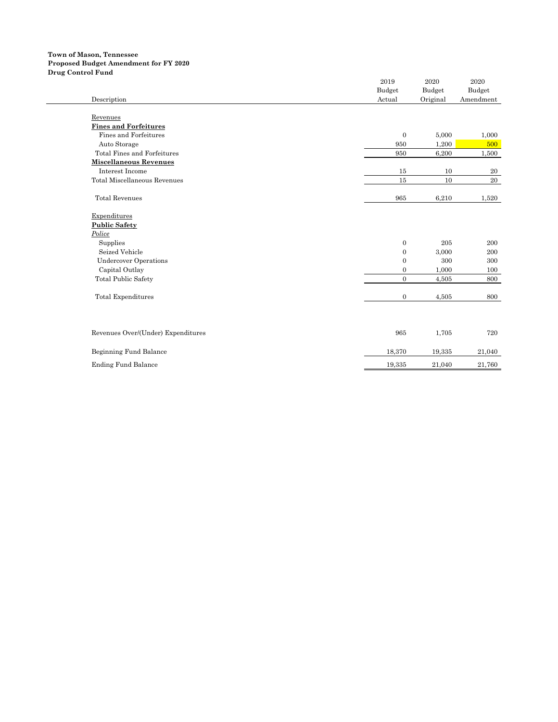### **Town of Mason, Tennessee Proposed Budget Amendment for FY 2020 Drug Control Fund**

|                                    | 2019<br>Budget   | 2020<br>Budget | 2020<br>Budget |
|------------------------------------|------------------|----------------|----------------|
| Description                        | Actual           | Original       | Amendment      |
|                                    |                  |                |                |
| Revenues                           |                  |                |                |
| <b>Fines and Forfeitures</b>       |                  |                |                |
| Fines and Forfeitures              | $\mathbf{0}$     | 5,000          | 1,000          |
| Auto Storage                       | 950              | 1,200          | 500            |
| Total Fines and Forfeitures        | 950              | 6,200          | 1,500          |
| <b>Miscellaneous Revenues</b>      |                  |                |                |
| Interest Income                    | 15               | 10             | 20             |
| Total Miscellaneous Revenues       | 15               | 10             | $20\,$         |
| <b>Total Revenues</b>              | 965              | 6,210          | 1,520          |
| Expenditures                       |                  |                |                |
| <b>Public Safety</b>               |                  |                |                |
| Police                             |                  |                |                |
| Supplies                           | $\mathbf{0}$     | 205            | 200            |
| Seized Vehicle                     | $\mathbf{0}$     | 3,000          | 200            |
| <b>Undercover Operations</b>       | $\boldsymbol{0}$ | 300            | 300            |
| Capital Outlay                     | $\mathbf{0}$     | 1,000          | 100            |
| <b>Total Public Safety</b>         | $\mathbf{0}$     | 4,505          | 800            |
| <b>Total Expenditures</b>          | $\mathbf{0}$     | 4,505          | 800            |
|                                    |                  |                |                |
| Revenues Over/(Under) Expenditures | 965              | 1,705          | 720            |
| Beginning Fund Balance             | 18,370           | 19,335         | 21,040         |
| <b>Ending Fund Balance</b>         | 19,335           | 21,040         | 21,760         |